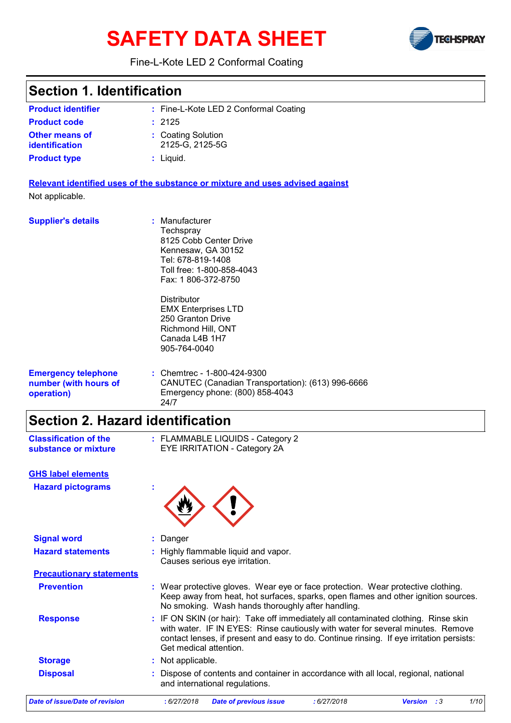# **SAFETY DATA SHEET**



#### Fine-L-Kote LED 2 Conformal Coating

| <b>Section 1. Identification</b>                                  |                                                                                                                                                                                                                                                                                             |
|-------------------------------------------------------------------|---------------------------------------------------------------------------------------------------------------------------------------------------------------------------------------------------------------------------------------------------------------------------------------------|
| <b>Product identifier</b>                                         | : Fine-L-Kote LED 2 Conformal Coating                                                                                                                                                                                                                                                       |
| <b>Product code</b>                                               | : 2125                                                                                                                                                                                                                                                                                      |
| <b>Other means of</b><br><b>identification</b>                    | : Coating Solution<br>2125-G, 2125-5G                                                                                                                                                                                                                                                       |
| <b>Product type</b>                                               | $:$ Liquid.                                                                                                                                                                                                                                                                                 |
|                                                                   | Relevant identified uses of the substance or mixture and uses advised against                                                                                                                                                                                                               |
| Not applicable.                                                   |                                                                                                                                                                                                                                                                                             |
| <b>Supplier's details</b>                                         | : Manufacturer<br>Techspray<br>8125 Cobb Center Drive<br>Kennesaw, GA 30152<br>Tel: 678-819-1408<br>Toll free: 1-800-858-4043<br>Fax: 1806-372-8750                                                                                                                                         |
|                                                                   | <b>Distributor</b><br><b>EMX Enterprises LTD</b><br>250 Granton Drive<br>Richmond Hill, ONT<br>Canada L4B 1H7<br>905-764-0040                                                                                                                                                               |
| <b>Emergency telephone</b><br>number (with hours of<br>operation) | : Chemtrec - 1-800-424-9300<br>CANUTEC (Canadian Transportation): (613) 996-6666<br>Emergency phone: (800) 858-4043<br>24/7                                                                                                                                                                 |
| <b>Section 2. Hazard identification</b>                           |                                                                                                                                                                                                                                                                                             |
| <b>Classification of the</b><br>substance or mixture              | : FLAMMABLE LIQUIDS - Category 2<br><b>EYE IRRITATION - Category 2A</b>                                                                                                                                                                                                                     |
| <b>GHS label elements</b>                                         |                                                                                                                                                                                                                                                                                             |
| <b>Hazard pictograms</b>                                          |                                                                                                                                                                                                                                                                                             |
| <b>Signal word</b>                                                | Danger                                                                                                                                                                                                                                                                                      |
| <b>Hazard statements</b>                                          | : Highly flammable liquid and vapor.<br>Causes serious eye irritation.                                                                                                                                                                                                                      |
| <b>Precautionary statements</b>                                   |                                                                                                                                                                                                                                                                                             |
| <b>Prevention</b>                                                 | : Wear protective gloves. Wear eye or face protection. Wear protective clothing.<br>Keep away from heat, hot surfaces, sparks, open flames and other ignition sources.<br>No smoking. Wash hands thoroughly after handling.                                                                 |
| <b>Response</b>                                                   | : IF ON SKIN (or hair): Take off immediately all contaminated clothing. Rinse skin<br>with water. IF IN EYES: Rinse cautiously with water for several minutes. Remove<br>contact lenses, if present and easy to do. Continue rinsing. If eye irritation persists:<br>Get medical attention. |
| <b>Storage</b>                                                    | Not applicable.                                                                                                                                                                                                                                                                             |
| <b>Disposal</b>                                                   | Dispose of contents and container in accordance with all local, regional, national<br>and international regulations.                                                                                                                                                                        |

*Date of issue/Date of revision* **:** *6/27/2018 Date of previous issue : 6/27/2018 Version : 3 1/10*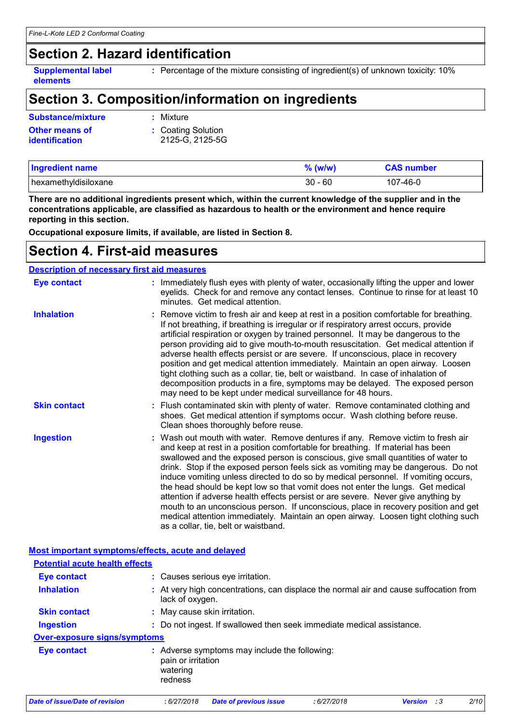### **Section 2. Hazard identification**

**elements**

**Supplemental label** Percentage of the mixture consisting of ingredient(s) of unknown toxicity: 10% **:**

### **Section 3. Composition/information on ingredients**

| Substance/mixture     | : Mixture          |
|-----------------------|--------------------|
| <b>Other means of</b> | : Coating Solution |
| <i>identification</i> | 2125-G. 2125-5G    |

| <b>Ingredient name</b> | $\%$ (w/w) | <b>CAS number</b> |
|------------------------|------------|-------------------|
| hexamethyldisiloxane   | $30 - 60$  | 107-46-0          |

**There are no additional ingredients present which, within the current knowledge of the supplier and in the concentrations applicable, are classified as hazardous to health or the environment and hence require reporting in this section.**

**Occupational exposure limits, if available, are listed in Section 8.**

#### **Section 4. First-aid measures**

| <b>Description of necessary first aid measures</b> |                                                                                                                                                                                                                                                                                                                                                                                                                                                                                                                                                                                                                                                                                                                                                                                                                              |
|----------------------------------------------------|------------------------------------------------------------------------------------------------------------------------------------------------------------------------------------------------------------------------------------------------------------------------------------------------------------------------------------------------------------------------------------------------------------------------------------------------------------------------------------------------------------------------------------------------------------------------------------------------------------------------------------------------------------------------------------------------------------------------------------------------------------------------------------------------------------------------------|
| <b>Eye contact</b>                                 | : Immediately flush eyes with plenty of water, occasionally lifting the upper and lower<br>eyelids. Check for and remove any contact lenses. Continue to rinse for at least 10<br>minutes. Get medical attention.                                                                                                                                                                                                                                                                                                                                                                                                                                                                                                                                                                                                            |
| <b>Inhalation</b>                                  | : Remove victim to fresh air and keep at rest in a position comfortable for breathing.<br>If not breathing, if breathing is irregular or if respiratory arrest occurs, provide<br>artificial respiration or oxygen by trained personnel. It may be dangerous to the<br>person providing aid to give mouth-to-mouth resuscitation. Get medical attention if<br>adverse health effects persist or are severe. If unconscious, place in recovery<br>position and get medical attention immediately. Maintain an open airway. Loosen<br>tight clothing such as a collar, tie, belt or waistband. In case of inhalation of<br>decomposition products in a fire, symptoms may be delayed. The exposed person<br>may need to be kept under medical surveillance for 48 hours.                                                       |
| <b>Skin contact</b>                                | : Flush contaminated skin with plenty of water. Remove contaminated clothing and<br>shoes. Get medical attention if symptoms occur. Wash clothing before reuse.<br>Clean shoes thoroughly before reuse.                                                                                                                                                                                                                                                                                                                                                                                                                                                                                                                                                                                                                      |
| <b>Ingestion</b>                                   | : Wash out mouth with water. Remove dentures if any. Remove victim to fresh air<br>and keep at rest in a position comfortable for breathing. If material has been<br>swallowed and the exposed person is conscious, give small quantities of water to<br>drink. Stop if the exposed person feels sick as vomiting may be dangerous. Do not<br>induce vomiting unless directed to do so by medical personnel. If vomiting occurs,<br>the head should be kept low so that vomit does not enter the lungs. Get medical<br>attention if adverse health effects persist or are severe. Never give anything by<br>mouth to an unconscious person. If unconscious, place in recovery position and get<br>medical attention immediately. Maintain an open airway. Loosen tight clothing such<br>as a collar, tie, belt or waistband. |

#### **Most important symptoms/effects, acute and delayed**

| <b>Potential acute health effects</b> |                                                                                                          |
|---------------------------------------|----------------------------------------------------------------------------------------------------------|
| <b>Eye contact</b>                    | : Causes serious eye irritation.                                                                         |
| <b>Inhalation</b>                     | : At very high concentrations, can displace the normal air and cause suffocation from<br>lack of oxygen. |
| <b>Skin contact</b>                   | : May cause skin irritation.                                                                             |
| <b>Ingestion</b>                      | : Do not ingest. If swallowed then seek immediate medical assistance.                                    |
| Over-exposure signs/symptoms          |                                                                                                          |
| <b>Eye contact</b>                    | : Adverse symptoms may include the following:<br>pain or irritation<br>watering<br>redness               |
| <b>Date of issue/Date of revision</b> | 2/10<br>:6/27/2018<br><b>Date of previous issue</b><br>:6/27/2018<br><b>Version</b><br>$\cdot$ :3        |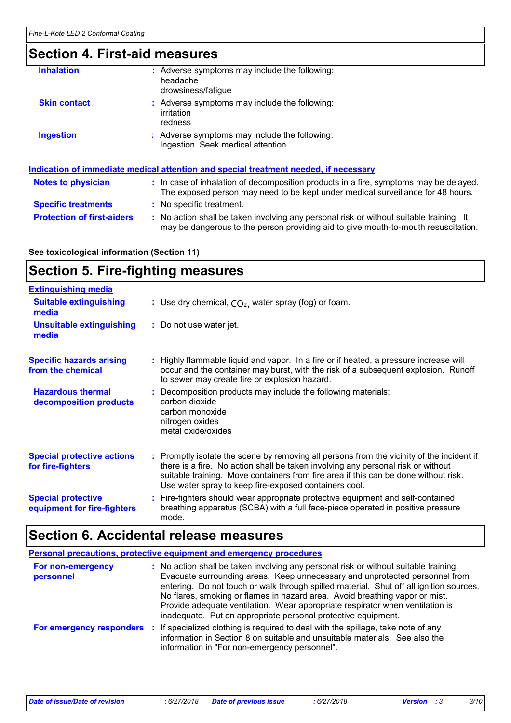### **Section 4. First-aid measures**

| <b>Inhalation</b>                 | : Adverse symptoms may include the following:<br>headache<br>drowsiness/fatigue                                                                                               |
|-----------------------------------|-------------------------------------------------------------------------------------------------------------------------------------------------------------------------------|
| <b>Skin contact</b>               | : Adverse symptoms may include the following:<br>irritation<br>redness                                                                                                        |
| <b>Ingestion</b>                  | : Adverse symptoms may include the following:<br>Ingestion Seek medical attention.                                                                                            |
|                                   | Indication of immediate medical attention and special treatment needed, if necessary                                                                                          |
| <b>Notes to physician</b>         | : In case of inhalation of decomposition products in a fire, symptoms may be delayed.<br>The exposed person may need to be kept under medical surveillance for 48 hours.      |
| <b>Specific treatments</b>        | : No specific treatment.                                                                                                                                                      |
| <b>Protection of first-aiders</b> | : No action shall be taken involving any personal risk or without suitable training. It<br>may be dangerous to the person providing aid to give mouth-to-mouth resuscitation. |

**See toxicological information (Section 11)**

### **Section 5. Fire-fighting measures**

| <b>Extinguishing media</b>                               |                                                                                                                                                                                                                                                                                                                               |
|----------------------------------------------------------|-------------------------------------------------------------------------------------------------------------------------------------------------------------------------------------------------------------------------------------------------------------------------------------------------------------------------------|
| <b>Suitable extinguishing</b><br>media                   | : Use dry chemical, $CO2$ , water spray (fog) or foam.                                                                                                                                                                                                                                                                        |
| <b>Unsuitable extinguishing</b><br>media                 | : Do not use water jet.                                                                                                                                                                                                                                                                                                       |
| <b>Specific hazards arising</b><br>from the chemical     | : Highly flammable liquid and vapor. In a fire or if heated, a pressure increase will<br>occur and the container may burst, with the risk of a subsequent explosion. Runoff<br>to sewer may create fire or explosion hazard.                                                                                                  |
| <b>Hazardous thermal</b><br>decomposition products       | : Decomposition products may include the following materials:<br>carbon dioxide<br>carbon monoxide<br>nitrogen oxides<br>metal oxide/oxides                                                                                                                                                                                   |
| <b>Special protective actions</b><br>for fire-fighters   | : Promptly isolate the scene by removing all persons from the vicinity of the incident if<br>there is a fire. No action shall be taken involving any personal risk or without<br>suitable training. Move containers from fire area if this can be done without risk.<br>Use water spray to keep fire-exposed containers cool. |
| <b>Special protective</b><br>equipment for fire-fighters | : Fire-fighters should wear appropriate protective equipment and self-contained<br>breathing apparatus (SCBA) with a full face-piece operated in positive pressure<br>mode.                                                                                                                                                   |

## **Section 6. Accidental release measures**

|                                | <b>Personal precautions, protective equipment and emergency procedures</b>                                                                                                                                                                                                                                                                                                                                                                                                                      |
|--------------------------------|-------------------------------------------------------------------------------------------------------------------------------------------------------------------------------------------------------------------------------------------------------------------------------------------------------------------------------------------------------------------------------------------------------------------------------------------------------------------------------------------------|
| For non-emergency<br>personnel | : No action shall be taken involving any personal risk or without suitable training.<br>Evacuate surrounding areas. Keep unnecessary and unprotected personnel from<br>entering. Do not touch or walk through spilled material. Shut off all ignition sources.<br>No flares, smoking or flames in hazard area. Avoid breathing vapor or mist.<br>Provide adequate ventilation. Wear appropriate respirator when ventilation is<br>inadequate. Put on appropriate personal protective equipment. |
|                                | For emergency responders : If specialized clothing is required to deal with the spillage, take note of any<br>information in Section 8 on suitable and unsuitable materials. See also the<br>information in "For non-emergency personnel".                                                                                                                                                                                                                                                      |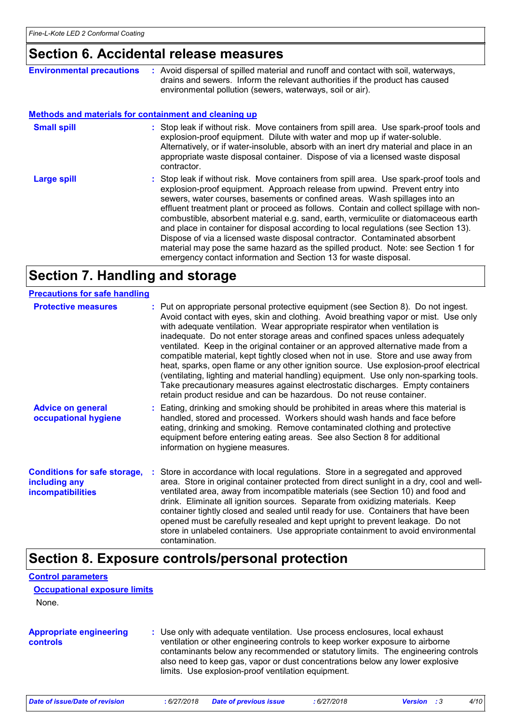### **Section 6. Accidental release measures**

| <b>Environmental precautions</b> | : Avoid dispersal of spilled material and runoff and contact with soil, waterways,<br>drains and sewers. Inform the relevant authorities if the product has caused<br>environmental pollution (sewers, waterways, soil or air).                                                                                                                                                                                                                                                                                                                                                                                                                                                                                                                                       |  |  |
|----------------------------------|-----------------------------------------------------------------------------------------------------------------------------------------------------------------------------------------------------------------------------------------------------------------------------------------------------------------------------------------------------------------------------------------------------------------------------------------------------------------------------------------------------------------------------------------------------------------------------------------------------------------------------------------------------------------------------------------------------------------------------------------------------------------------|--|--|
|                                  | <b>Methods and materials for containment and cleaning up</b>                                                                                                                                                                                                                                                                                                                                                                                                                                                                                                                                                                                                                                                                                                          |  |  |
| <b>Small spill</b>               | : Stop leak if without risk. Move containers from spill area. Use spark-proof tools and<br>explosion-proof equipment. Dilute with water and mop up if water-soluble.<br>Alternatively, or if water-insoluble, absorb with an inert dry material and place in an<br>appropriate waste disposal container. Dispose of via a licensed waste disposal<br>contractor.                                                                                                                                                                                                                                                                                                                                                                                                      |  |  |
| Large spill                      | : Stop leak if without risk. Move containers from spill area. Use spark-proof tools and<br>explosion-proof equipment. Approach release from upwind. Prevent entry into<br>sewers, water courses, basements or confined areas. Wash spillages into an<br>effluent treatment plant or proceed as follows. Contain and collect spillage with non-<br>combustible, absorbent material e.g. sand, earth, vermiculite or diatomaceous earth<br>and place in container for disposal according to local regulations (see Section 13).<br>Dispose of via a licensed waste disposal contractor. Contaminated absorbent<br>material may pose the same hazard as the spilled product. Note: see Section 1 for<br>emergency contact information and Section 13 for waste disposal. |  |  |

### **Section 7. Handling and storage**

| <b>Precautions for safe handling</b>                                             |                                                                                                                                                                                                                                                                                                                                                                                                                                                                                                                                                                                                                                                                                                                                                                                                                                                               |
|----------------------------------------------------------------------------------|---------------------------------------------------------------------------------------------------------------------------------------------------------------------------------------------------------------------------------------------------------------------------------------------------------------------------------------------------------------------------------------------------------------------------------------------------------------------------------------------------------------------------------------------------------------------------------------------------------------------------------------------------------------------------------------------------------------------------------------------------------------------------------------------------------------------------------------------------------------|
| <b>Protective measures</b>                                                       | : Put on appropriate personal protective equipment (see Section 8). Do not ingest.<br>Avoid contact with eyes, skin and clothing. Avoid breathing vapor or mist. Use only<br>with adequate ventilation. Wear appropriate respirator when ventilation is<br>inadequate. Do not enter storage areas and confined spaces unless adequately<br>ventilated. Keep in the original container or an approved alternative made from a<br>compatible material, kept tightly closed when not in use. Store and use away from<br>heat, sparks, open flame or any other ignition source. Use explosion-proof electrical<br>(ventilating, lighting and material handling) equipment. Use only non-sparking tools.<br>Take precautionary measures against electrostatic discharges. Empty containers<br>retain product residue and can be hazardous. Do not reuse container. |
| <b>Advice on general</b><br>occupational hygiene                                 | : Eating, drinking and smoking should be prohibited in areas where this material is<br>handled, stored and processed. Workers should wash hands and face before<br>eating, drinking and smoking. Remove contaminated clothing and protective<br>equipment before entering eating areas. See also Section 8 for additional<br>information on hygiene measures.                                                                                                                                                                                                                                                                                                                                                                                                                                                                                                 |
| <b>Conditions for safe storage,</b><br>including any<br><b>incompatibilities</b> | : Store in accordance with local regulations. Store in a segregated and approved<br>area. Store in original container protected from direct sunlight in a dry, cool and well-<br>ventilated area, away from incompatible materials (see Section 10) and food and<br>drink. Eliminate all ignition sources. Separate from oxidizing materials. Keep<br>container tightly closed and sealed until ready for use. Containers that have been<br>opened must be carefully resealed and kept upright to prevent leakage. Do not<br>store in unlabeled containers. Use appropriate containment to avoid environmental<br>contamination.                                                                                                                                                                                                                              |

### **Section 8. Exposure controls/personal protection**

**Control parameters**

**Occupational exposure limits**

| None.                                             |            |                                                                                                                                                                                                                                                                                                                                                                                         |            |                |       |      |
|---------------------------------------------------|------------|-----------------------------------------------------------------------------------------------------------------------------------------------------------------------------------------------------------------------------------------------------------------------------------------------------------------------------------------------------------------------------------------|------------|----------------|-------|------|
| <b>Appropriate engineering</b><br><b>controls</b> |            | : Use only with adequate ventilation. Use process enclosures, local exhaust<br>ventilation or other engineering controls to keep worker exposure to airborne<br>contaminants below any recommended or statutory limits. The engineering controls<br>also need to keep gas, vapor or dust concentrations below any lower explosive<br>limits. Use explosion-proof ventilation equipment. |            |                |       |      |
| Date of issue/Date of revision                    | :6/27/2018 | <b>Date of previous issue</b>                                                                                                                                                                                                                                                                                                                                                           | :6/27/2018 | <b>Version</b> | - : 3 | 4/10 |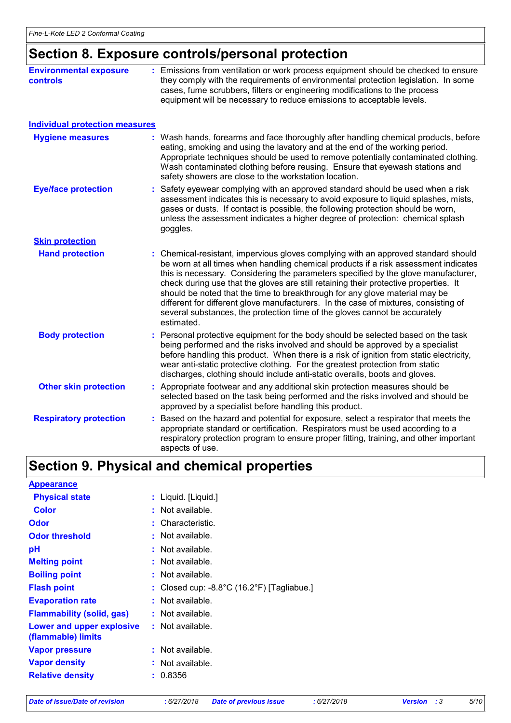### **Section 8. Exposure controls/personal protection**

| <b>Environmental exposure</b><br>controls | : Emissions from ventilation or work process equipment should be checked to ensure<br>they comply with the requirements of environmental protection legislation. In some<br>cases, fume scrubbers, filters or engineering modifications to the process<br>equipment will be necessary to reduce emissions to acceptable levels.                                                                                                                                                                                                                                                                                           |  |  |
|-------------------------------------------|---------------------------------------------------------------------------------------------------------------------------------------------------------------------------------------------------------------------------------------------------------------------------------------------------------------------------------------------------------------------------------------------------------------------------------------------------------------------------------------------------------------------------------------------------------------------------------------------------------------------------|--|--|
| <b>Individual protection measures</b>     |                                                                                                                                                                                                                                                                                                                                                                                                                                                                                                                                                                                                                           |  |  |
| <b>Hygiene measures</b>                   | : Wash hands, forearms and face thoroughly after handling chemical products, before<br>eating, smoking and using the lavatory and at the end of the working period.<br>Appropriate techniques should be used to remove potentially contaminated clothing.<br>Wash contaminated clothing before reusing. Ensure that eyewash stations and<br>safety showers are close to the workstation location.                                                                                                                                                                                                                         |  |  |
| <b>Eye/face protection</b>                | Safety eyewear complying with an approved standard should be used when a risk<br>assessment indicates this is necessary to avoid exposure to liquid splashes, mists,<br>gases or dusts. If contact is possible, the following protection should be worn,<br>unless the assessment indicates a higher degree of protection: chemical splash<br>goggles.                                                                                                                                                                                                                                                                    |  |  |
| <b>Skin protection</b>                    |                                                                                                                                                                                                                                                                                                                                                                                                                                                                                                                                                                                                                           |  |  |
| <b>Hand protection</b>                    | : Chemical-resistant, impervious gloves complying with an approved standard should<br>be worn at all times when handling chemical products if a risk assessment indicates<br>this is necessary. Considering the parameters specified by the glove manufacturer,<br>check during use that the gloves are still retaining their protective properties. It<br>should be noted that the time to breakthrough for any glove material may be<br>different for different glove manufacturers. In the case of mixtures, consisting of<br>several substances, the protection time of the gloves cannot be accurately<br>estimated. |  |  |
| <b>Body protection</b>                    | : Personal protective equipment for the body should be selected based on the task<br>being performed and the risks involved and should be approved by a specialist<br>before handling this product. When there is a risk of ignition from static electricity,<br>wear anti-static protective clothing. For the greatest protection from static<br>discharges, clothing should include anti-static overalls, boots and gloves.                                                                                                                                                                                             |  |  |
| <b>Other skin protection</b>              | : Appropriate footwear and any additional skin protection measures should be<br>selected based on the task being performed and the risks involved and should be<br>approved by a specialist before handling this product.                                                                                                                                                                                                                                                                                                                                                                                                 |  |  |
| <b>Respiratory protection</b>             | Based on the hazard and potential for exposure, select a respirator that meets the<br>appropriate standard or certification. Respirators must be used according to a<br>respiratory protection program to ensure proper fitting, training, and other important<br>aspects of use.                                                                                                                                                                                                                                                                                                                                         |  |  |

### **Section 9. Physical and chemical properties**

| <b>Appearance</b>                               |                                                                 |
|-------------------------------------------------|-----------------------------------------------------------------|
| <b>Physical state</b>                           | : Liquid. [Liquid.]                                             |
| <b>Color</b>                                    | : Not available.                                                |
| Odor                                            | : Characteristic.                                               |
| <b>Odor threshold</b>                           | : Not available.                                                |
| рH                                              | $:$ Not available.                                              |
| <b>Melting point</b>                            | : Not available.                                                |
| <b>Boiling point</b>                            | : Not available.                                                |
| <b>Flash point</b>                              | : Closed cup: $-8.8^{\circ}$ C (16.2 $^{\circ}$ F) [Tagliabue.] |
| <b>Evaporation rate</b>                         | : Not available.                                                |
| <b>Flammability (solid, gas)</b>                | $:$ Not available.                                              |
| Lower and upper explosive<br>(flammable) limits | : Not available.                                                |
| <b>Vapor pressure</b>                           | : Not available.                                                |
| <b>Vapor density</b>                            | : Not available.                                                |
| <b>Relative density</b>                         | : 0.8356                                                        |

*Date of issue/Date of revision* **:** *6/27/2018 Date of previous issue : 6/27/2018 Version : 3 5/10*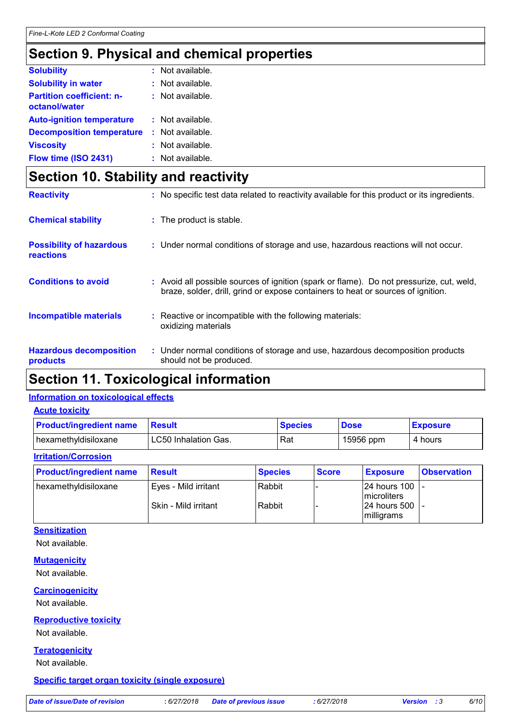### **Section 9. Physical and chemical properties**

| <b>Solubility</b>                                 | $:$ Not available. |
|---------------------------------------------------|--------------------|
| <b>Solubility in water</b>                        | $:$ Not available. |
| <b>Partition coefficient: n-</b><br>octanol/water | : Not available.   |
| <b>Auto-ignition temperature</b>                  | : Not available.   |
| <b>Decomposition temperature</b>                  | $:$ Not available. |
| <b>Viscosity</b>                                  | : Not available.   |
| Flow time (ISO 2431)                              | : Not available.   |

### **Section 10. Stability and reactivity**

| <b>Reactivity</b>                            | : No specific test data related to reactivity available for this product or its ingredients.                                                                                 |
|----------------------------------------------|------------------------------------------------------------------------------------------------------------------------------------------------------------------------------|
| <b>Chemical stability</b>                    | : The product is stable.                                                                                                                                                     |
| <b>Possibility of hazardous</b><br>reactions | : Under normal conditions of storage and use, hazardous reactions will not occur.                                                                                            |
| <b>Conditions to avoid</b>                   | : Avoid all possible sources of ignition (spark or flame). Do not pressurize, cut, weld,<br>braze, solder, drill, grind or expose containers to heat or sources of ignition. |
| <b>Incompatible materials</b>                | : Reactive or incompatible with the following materials:<br>oxidizing materials                                                                                              |
| <b>Hazardous decomposition</b><br>products   | : Under normal conditions of storage and use, hazardous decomposition products<br>should not be produced.                                                                    |

### **Section 11. Toxicological information**

#### **Information on toxicological effects**

**Acute toxicity**

| <b>Product/ingredient name</b> | <b>Result</b>        | <b>Species</b> | <b>Dose</b> | <b>Exposure</b> |
|--------------------------------|----------------------|----------------|-------------|-----------------|
| hexamethyldisiloxane           | LC50 Inhalation Gas. | Rat            | 15956 ppm   | 4 hours         |
| <b>Irritation/Corrosion</b>    |                      |                |             |                 |

| <b>Product/ingredient name</b> | <b>Result</b>        | <b>Species</b> | <b>Score</b> | <b>Exposure</b>                       | <b>Observation</b> |
|--------------------------------|----------------------|----------------|--------------|---------------------------------------|--------------------|
| hexamethyldisiloxane           | Eves - Mild irritant | Rabbit         |              | 24 hours 100 -<br><b>Imicroliters</b> |                    |
|                                | Skin - Mild irritant | Rabbit         |              | 24 hours 500<br>milligrams            |                    |

#### **Sensitization**

Not available.

#### **Mutagenicity**

Not available.

#### **Carcinogenicity**

Not available.

#### **Reproductive toxicity**

Not available.

#### **Teratogenicity**

Not available.

#### **Specific target organ toxicity (single exposure)**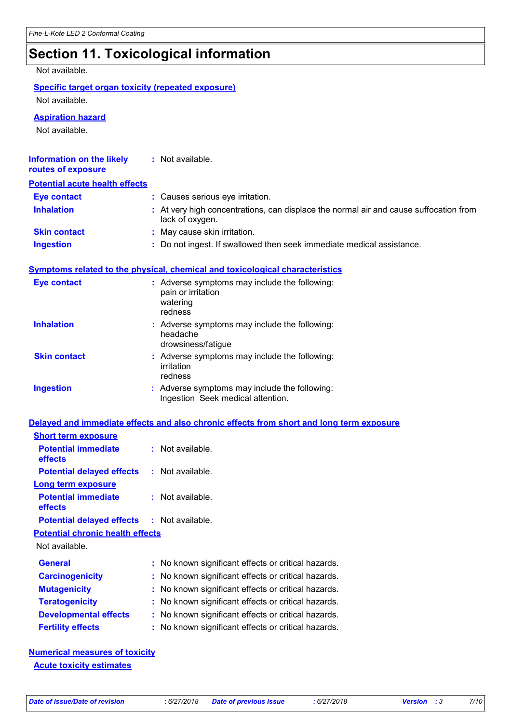### **Section 11. Toxicological information**

Not available.

#### **Specific target organ toxicity (repeated exposure)**

Not available.

**Aspiration hazard**

Not available.

| Information on the likely<br>routes of exposure | : Not available.                                                                                         |
|-------------------------------------------------|----------------------------------------------------------------------------------------------------------|
| <b>Potential acute health effects</b>           |                                                                                                          |
| <b>Eye contact</b>                              | : Causes serious eye irritation.                                                                         |
| <b>Inhalation</b>                               | : At very high concentrations, can displace the normal air and cause suffocation from<br>lack of oxygen. |
| <b>Skin contact</b>                             | : May cause skin irritation.                                                                             |
| Ingestion                                       | : Do not ingest. If swallowed then seek immediate medical assistance.                                    |
|                                                 | Symptoms related to the physical, chemical and toxicological characteristics                             |
| <b>Eye contact</b>                              | : Adverse symptoms may include the following:<br>pain or irritation<br>watering<br>redness               |

|                     | headache<br>drowsiness/fatigue                                         |
|---------------------|------------------------------------------------------------------------|
| <b>Skin contact</b> | : Adverse symptoms may include the following:<br>irritation<br>redness |
| <b>Ingaction</b>    | . Adverse symptoms may include the following:                          |

**Inhalation Adverse symptoms may include the following:**  $\blacksquare$ 

| Ingestion | : Adverse symptoms may include the following: |
|-----------|-----------------------------------------------|
|           | Ingestion Seek medical attention.             |
|           |                                               |

|                                                   | Delayed and immediate effects and also chronic effects from short and long term exposure |
|---------------------------------------------------|------------------------------------------------------------------------------------------|
| <b>Short term exposure</b>                        |                                                                                          |
| <b>Potential immediate</b><br><b>effects</b>      | $:$ Not available.                                                                       |
| <b>Potential delayed effects : Not available.</b> |                                                                                          |
| <b>Long term exposure</b>                         |                                                                                          |
| <b>Potential immediate</b><br><b>effects</b>      | $:$ Not available.                                                                       |
| <b>Potential delayed effects : Not available.</b> |                                                                                          |
| <b>Potential chronic health effects</b>           |                                                                                          |
| Not available.                                    |                                                                                          |
| <b>General</b>                                    | : No known significant effects or critical hazards.                                      |
| <b>Carcinogenicity</b>                            | : No known significant effects or critical hazards.                                      |
| <b>Mutagenicity</b>                               | : No known significant effects or critical hazards.                                      |
| <b>Teratogenicity</b>                             | : No known significant effects or critical hazards.                                      |
| <b>Developmental effects</b>                      | : No known significant effects or critical hazards.                                      |

**Fertility effects :** No known significant effects or critical hazards.

**Numerical measures of toxicity Acute toxicity estimates**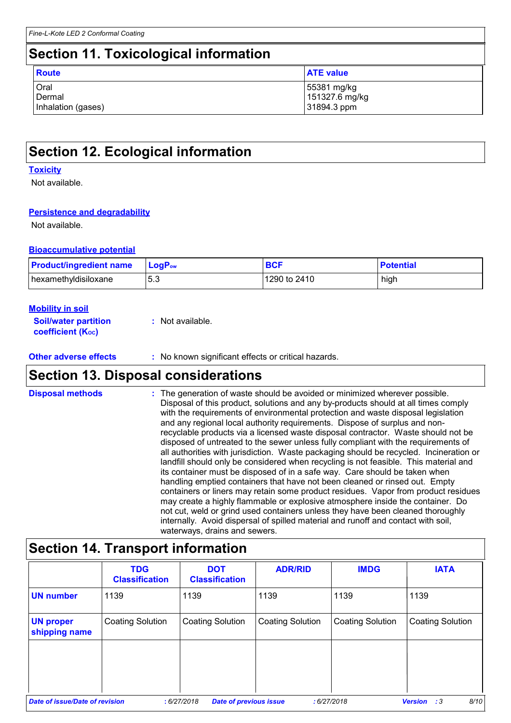### **Section 11. Toxicological information**

| Route              | <b>ATE value</b> |
|--------------------|------------------|
| Oral               | 55381 mg/kg      |
| Dermal             | 151327.6 mg/kg   |
| Inhalation (gases) | 31894.3 ppm      |

## **Section 12. Ecological information**

#### **Toxicity**

Not available.

#### **Persistence and degradability**

Not available.

#### **Bioaccumulative potential**

| <b>Product/ingredient name</b> | $\mathsf{LoaP}_\mathsf{ow}$ | <b>BCF</b>   | <b>Potential</b> |
|--------------------------------|-----------------------------|--------------|------------------|
| hexamethyldisiloxane           | 5.3                         | 1290 to 2410 | high             |

#### **Mobility in soil**

| <b>Soil/water partition</b>           | : Not available. |
|---------------------------------------|------------------|
| <b>coefficient</b> (K <sub>oc</sub> ) |                  |

#### **Other adverse effects :** No known significant effects or critical hazards.

### **Section 13. Disposal considerations**

The generation of waste should be avoided or minimized wherever possible. Disposal of this product, solutions and any by-products should at all times comply with the requirements of environmental protection and waste disposal legislation and any regional local authority requirements. Dispose of surplus and nonrecyclable products via a licensed waste disposal contractor. Waste should not be disposed of untreated to the sewer unless fully compliant with the requirements of all authorities with jurisdiction. Waste packaging should be recycled. Incineration or landfill should only be considered when recycling is not feasible. This material and its container must be disposed of in a safe way. Care should be taken when handling emptied containers that have not been cleaned or rinsed out. Empty containers or liners may retain some product residues. Vapor from product residues may create a highly flammable or explosive atmosphere inside the container. Do not cut, weld or grind used containers unless they have been cleaned thoroughly internally. Avoid dispersal of spilled material and runoff and contact with soil, waterways, drains and sewers. **Disposal methods :**

### **Section 14. Transport information**

|                                   | <b>TDG</b><br><b>Classification</b> | <b>DOT</b><br><b>Classification</b>         | <b>ADR/RID</b>          | <b>IMDG</b>             | <b>IATA</b>                |
|-----------------------------------|-------------------------------------|---------------------------------------------|-------------------------|-------------------------|----------------------------|
| <b>UN number</b>                  | 1139                                | 1139                                        | 1139                    | 1139                    | 1139                       |
| <b>UN proper</b><br>shipping name | <b>Coating Solution</b>             | <b>Coating Solution</b>                     | <b>Coating Solution</b> | <b>Coating Solution</b> | <b>Coating Solution</b>    |
|                                   |                                     |                                             |                         |                         |                            |
|                                   |                                     |                                             |                         |                         |                            |
| Date of issue/Date of revision    |                                     | :6/27/2018<br><b>Date of previous issue</b> | :6/27/2018              |                         | 8/10<br><b>Version</b> : 3 |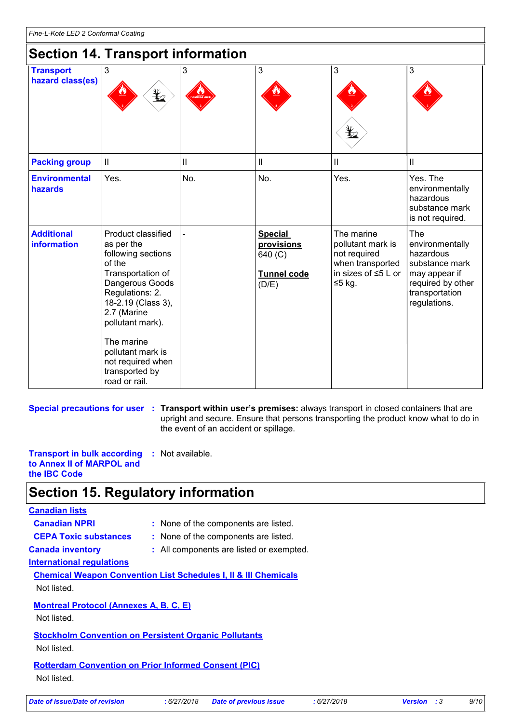### **Section 14. Transport information**

| <b>Transport</b><br>hazard class(es)    | $\mathfrak{3}$<br>$\bigstar$                                                                                                                                                                                                                                                    | $\mathbf{3}$               | 3                                                                      | 3<br>Ļ,                                                                                                | 3                                                                                                                                    |
|-----------------------------------------|---------------------------------------------------------------------------------------------------------------------------------------------------------------------------------------------------------------------------------------------------------------------------------|----------------------------|------------------------------------------------------------------------|--------------------------------------------------------------------------------------------------------|--------------------------------------------------------------------------------------------------------------------------------------|
| <b>Packing group</b>                    | $\ensuremath{\mathsf{II}}$                                                                                                                                                                                                                                                      | $\ensuremath{\mathsf{II}}$ | $\ensuremath{\mathsf{II}}$                                             | $\vert\vert$                                                                                           | $\mathbf{II}$                                                                                                                        |
| <b>Environmental</b><br>hazards         | Yes.                                                                                                                                                                                                                                                                            | No.                        | No.                                                                    | Yes.                                                                                                   | Yes. The<br>environmentally<br>hazardous<br>substance mark<br>is not required.                                                       |
| <b>Additional</b><br><b>information</b> | Product classified<br>as per the<br>following sections<br>of the<br>Transportation of<br>Dangerous Goods<br>Regulations: 2.<br>18-2.19 (Class 3),<br>2.7 (Marine<br>pollutant mark).<br>The marine<br>pollutant mark is<br>not required when<br>transported by<br>road or rail. |                            | <b>Special</b><br>provisions<br>640 (C)<br><b>Tunnel code</b><br>(D/E) | The marine<br>pollutant mark is<br>not required<br>when transported<br>in sizes of ≤5 L or<br>$≤5$ kg. | <b>The</b><br>environmentally<br>hazardous<br>substance mark<br>may appear if<br>required by other<br>transportation<br>regulations. |

**Special precautions for user Transport within user's premises:** always transport in closed containers that are **:** upright and secure. Ensure that persons transporting the product know what to do in the event of an accident or spillage.

**Transport in bulk according :** Not available. **to Annex II of MARPOL and the IBC Code**

### **Section 15. Regulatory information**

#### **Canadian lists**

- **Canadian NPRI :** None of the components are listed.
- **CEPA Toxic substances :** None of the components are listed.
- 
- **Canada inventory :** All components are listed or exempted.

#### **International regulations**

**Chemical Weapon Convention List Schedules I, II & III Chemicals** Not listed.

#### **Montreal Protocol (Annexes A, B, C, E)**

Not listed.

#### **Stockholm Convention on Persistent Organic Pollutants**

Not listed.

**Rotterdam Convention on Prior Informed Consent (PIC)** Not listed.